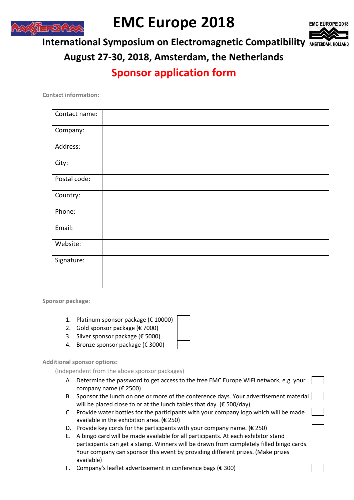

## **EMC Europe 2018**



**International Symposium on Electromagnetic Compatibility**

**August 27-30, 2018, Amsterdam, the Netherlands**

## **Sponsor application form**

**Contact information:**

| Contact name: |  |
|---------------|--|
| Company:      |  |
| Address:      |  |
| City:         |  |
| Postal code:  |  |
| Country:      |  |
| Phone:        |  |
| Email:        |  |
| Website:      |  |
| Signature:    |  |
|               |  |

**Sponsor package:**

- 1. Platinum sponsor package (€ 10000)
- 2. Gold sponsor package ( $\epsilon$  7000)
- 3. Silver sponsor package (€ 5000)
- 4. Bronze sponsor package (€ 3000)

**Additional sponsor options:**

(Independent from the above sponsor packages)

- A. Determine the password to get access to the free EMC Europe WIFI network, e.g. your company name (€ 2500)
- B. Sponsor the lunch on one or more of the conference days. Your advertisement material will be placed close to or at the lunch tables that day. ( $\epsilon$  500/day)
- C. Provide water bottles for the participants with your company logo which will be made available in the exhibition area. (€ 250)
- D. Provide key cords for the participants with your company name.  $(E 250)$
- E. A bingo card will be made available for all participants. At each exhibitor stand participants can get a stamp. Winners will be drawn from completely filled bingo cards. Your company can sponsor this event by providing different prizes. (Make prizes available)
- F. Company's leaflet advertisement in conference bags (€ 300)
- -